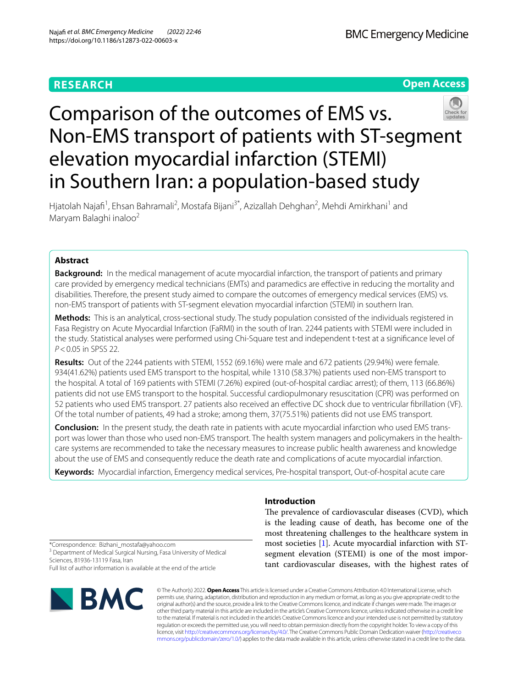# **RESEARCH**



# Comparison of the outcomes of EMS vs. Non-EMS transport of patients with ST-segment elevation myocardial infarction (STEMI) in Southern Iran: a population-based study

Hjatolah Najafi<sup>1</sup>, Ehsan Bahramali<sup>2</sup>, Mostafa Bijani<sup>3\*</sup>, Azizallah Dehghan<sup>2</sup>, Mehdi Amirkhani<sup>1</sup> and Maryam Balaghi inaloo<sup>2</sup>

## **Abstract**

**Background:** In the medical management of acute myocardial infarction, the transport of patients and primary care provided by emergency medical technicians (EMTs) and paramedics are efective in reducing the mortality and disabilities. Therefore, the present study aimed to compare the outcomes of emergency medical services (EMS) vs. non-EMS transport of patients with ST-segment elevation myocardial infarction (STEMI) in southern Iran.

**Methods:** This is an analytical, cross-sectional study. The study population consisted of the individuals registered in Fasa Registry on Acute Myocardial Infarction (FaRMI) in the south of Iran. 2244 patients with STEMI were included in the study. Statistical analyses were performed using Chi-Square test and independent t-test at a signifcance level of *P*<0.05 in SPSS 22.

**Results:** Out of the 2244 patients with STEMI, 1552 (69.16%) were male and 672 patients (29.94%) were female. 934(41.62%) patients used EMS transport to the hospital, while 1310 (58.37%) patients used non-EMS transport to the hospital. A total of 169 patients with STEMI (7.26%) expired (out-of-hospital cardiac arrest); of them, 113 (66.86%) patients did not use EMS transport to the hospital. Successful cardiopulmonary resuscitation (CPR) was performed on 52 patients who used EMS transport. 27 patients also received an efective DC shock due to ventricular fbrillation (VF). Of the total number of patients, 49 had a stroke; among them, 37(75.51%) patients did not use EMS transport.

**Conclusion:** In the present study, the death rate in patients with acute myocardial infarction who used EMS transport was lower than those who used non-EMS transport. The health system managers and policymakers in the healthcare systems are recommended to take the necessary measures to increase public health awareness and knowledge about the use of EMS and consequently reduce the death rate and complications of acute myocardial infarction.

**Keywords:** Myocardial infarction, Emergency medical services, Pre-hospital transport, Out-of-hospital acute care

### **Introduction**

The prevalence of cardiovascular diseases (CVD), which is the leading cause of death, has become one of the most threatening challenges to the healthcare system in most societies [[1\]](#page-5-0). Acute myocardial infarction with STsegment elevation (STEMI) is one of the most important cardiovascular diseases, with the highest rates of

\*Correspondence: Bizhani\_mostafa@yahoo.com

<sup>3</sup> Department of Medical Surgical Nursing, Fasa University of Medical Sciences, 81936-13119 Fasa, Iran

Full list of author information is available at the end of the article



© The Author(s) 2022. **Open Access** This article is licensed under a Creative Commons Attribution 4.0 International License, which permits use, sharing, adaptation, distribution and reproduction in any medium or format, as long as you give appropriate credit to the original author(s) and the source, provide a link to the Creative Commons licence, and indicate if changes were made. The images or other third party material in this article are included in the article's Creative Commons licence, unless indicated otherwise in a credit line to the material. If material is not included in the article's Creative Commons licence and your intended use is not permitted by statutory regulation or exceeds the permitted use, you will need to obtain permission directly from the copyright holder. To view a copy of this licence, visit [http://creativecommons.org/licenses/by/4.0/.](http://creativecommons.org/licenses/by/4.0/) The Creative Commons Public Domain Dedication waiver ([http://creativeco](http://creativecommons.org/publicdomain/zero/1.0/) [mmons.org/publicdomain/zero/1.0/](http://creativecommons.org/publicdomain/zero/1.0/)) applies to the data made available in this article, unless otherwise stated in a credit line to the data.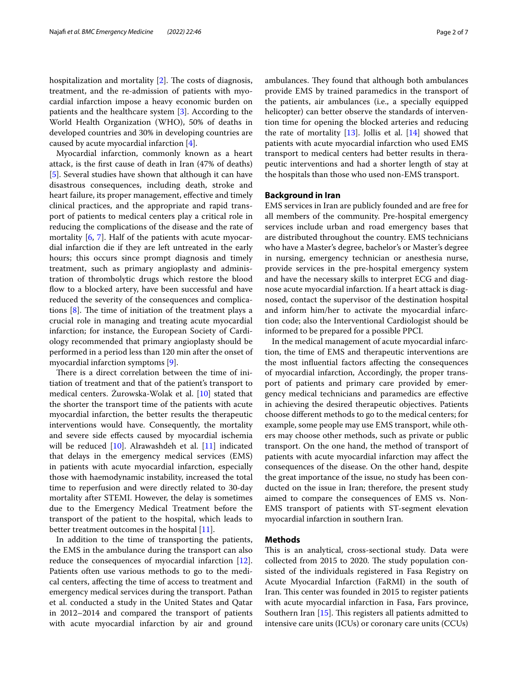hospitalization and mortality  $[2]$  $[2]$ . The costs of diagnosis, treatment, and the re-admission of patients with myocardial infarction impose a heavy economic burden on patients and the healthcare system [\[3\]](#page-5-2). According to the World Health Organization (WHO), 50% of deaths in developed countries and 30% in developing countries are caused by acute myocardial infarction [[4\]](#page-5-3).

Myocardial infarction, commonly known as a heart attack, is the frst cause of death in Iran (47% of deaths) [[5\]](#page-6-0). Several studies have shown that although it can have disastrous consequences, including death, stroke and heart failure, its proper management, effective and timely clinical practices, and the appropriate and rapid transport of patients to medical centers play a critical role in reducing the complications of the disease and the rate of mortality [\[6](#page-6-1), [7\]](#page-6-2). Half of the patients with acute myocardial infarction die if they are left untreated in the early hours; this occurs since prompt diagnosis and timely treatment, such as primary angioplasty and administration of thrombolytic drugs which restore the blood flow to a blocked artery, have been successful and have reduced the severity of the consequences and complications  $[8]$  $[8]$  $[8]$ . The time of initiation of the treatment plays a crucial role in managing and treating acute myocardial infarction; for instance, the European Society of Cardiology recommended that primary angioplasty should be performed in a period less than 120 min after the onset of myocardial infarction symptoms [[9\]](#page-6-4).

There is a direct correlation between the time of initiation of treatment and that of the patient's transport to medical centers. Żurowska-Wolak et al. [\[10](#page-6-5)] stated that the shorter the transport time of the patients with acute myocardial infarction, the better results the therapeutic interventions would have. Consequently, the mortality and severe side efects caused by myocardial ischemia will be reduced [[10\]](#page-6-5). Alrawashdeh et al. [\[11](#page-6-6)] indicated that delays in the emergency medical services (EMS) in patients with acute myocardial infarction, especially those with haemodynamic instability, increased the total time to reperfusion and were directly related to 30-day mortality after STEMI. However, the delay is sometimes due to the Emergency Medical Treatment before the transport of the patient to the hospital, which leads to better treatment outcomes in the hospital [[11\]](#page-6-6).

In addition to the time of transporting the patients, the EMS in the ambulance during the transport can also reduce the consequences of myocardial infarction [\[12](#page-6-7)]. Patients often use various methods to go to the medical centers, afecting the time of access to treatment and emergency medical services during the transport. Pathan et al. conducted a study in the United States and Qatar in 2012–2014 and compared the transport of patients with acute myocardial infarction by air and ground ambulances. They found that although both ambulances provide EMS by trained paramedics in the transport of the patients, air ambulances (i.e., a specially equipped helicopter) can better observe the standards of intervention time for opening the blocked arteries and reducing the rate of mortality  $[13]$  $[13]$ . Jollis et al.  $[14]$  $[14]$  showed that patients with acute myocardial infarction who used EMS transport to medical centers had better results in therapeutic interventions and had a shorter length of stay at the hospitals than those who used non-EMS transport.

#### **Background in Iran**

EMS services in Iran are publicly founded and are free for all members of the community. Pre-hospital emergency services include urban and road emergency bases that are distributed throughout the country. EMS technicians who have a Master's degree, bachelor's or Master's degree in nursing, emergency technician or anesthesia nurse, provide services in the pre-hospital emergency system and have the necessary skills to interpret ECG and diagnose acute myocardial infarction. If a heart attack is diagnosed, contact the supervisor of the destination hospital and inform him/her to activate the myocardial infarction code; also the Interventional Cardiologist should be informed to be prepared for a possible PPCI.

In the medical management of acute myocardial infarction, the time of EMS and therapeutic interventions are the most infuential factors afecting the consequences of myocardial infarction, Accordingly, the proper transport of patients and primary care provided by emergency medical technicians and paramedics are efective in achieving the desired therapeutic objectives. Patients choose diferent methods to go to the medical centers; for example, some people may use EMS transport, while others may choose other methods, such as private or public transport. On the one hand, the method of transport of patients with acute myocardial infarction may afect the consequences of the disease. On the other hand, despite the great importance of the issue, no study has been conducted on the issue in Iran; therefore, the present study aimed to compare the consequences of EMS vs. Non-EMS transport of patients with ST-segment elevation myocardial infarction in southern Iran.

#### **Methods**

This is an analytical, cross-sectional study. Data were collected from 2015 to 2020. The study population consisted of the individuals registered in Fasa Registry on Acute Myocardial Infarction (FaRMI) in the south of Iran. This center was founded in 2015 to register patients with acute myocardial infarction in Fasa, Fars province, Southern Iran  $[15]$ . This registers all patients admitted to intensive care units (ICUs) or coronary care units (CCUs)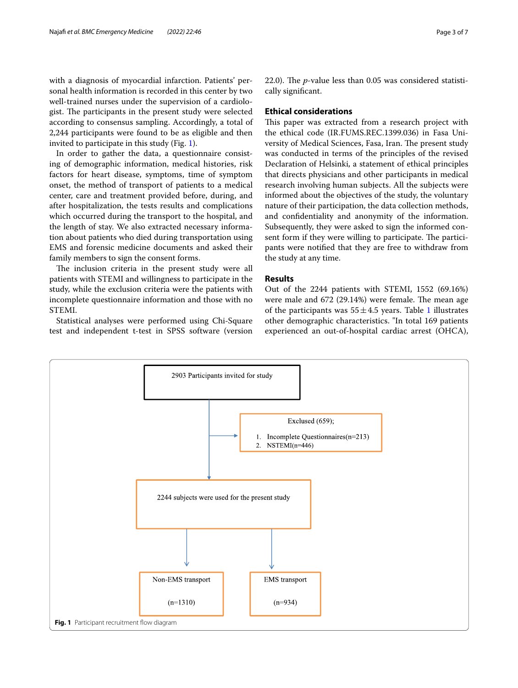with a diagnosis of myocardial infarction. Patients' personal health information is recorded in this center by two well-trained nurses under the supervision of a cardiologist. The participants in the present study were selected according to consensus sampling. Accordingly, a total of 2,244 participants were found to be as eligible and then invited to participate in this study (Fig. [1\)](#page-2-0).

In order to gather the data, a questionnaire consisting of demographic information, medical histories, risk factors for heart disease, symptoms, time of symptom onset, the method of transport of patients to a medical center, care and treatment provided before, during, and after hospitalization, the tests results and complications which occurred during the transport to the hospital, and the length of stay. We also extracted necessary information about patients who died during transportation using EMS and forensic medicine documents and asked their family members to sign the consent forms.

The inclusion criteria in the present study were all patients with STEMI and willingness to participate in the study, while the exclusion criteria were the patients with incomplete questionnaire information and those with no STEMI.

Statistical analyses were performed using Chi-Square test and independent t-test in SPSS software (version 22.0). The  $p$ -value less than 0.05 was considered statistically signifcant.

#### **Ethical considerations**

This paper was extracted from a research project with the ethical code (IR.FUMS.REC.1399.036) in Fasa University of Medical Sciences, Fasa, Iran. The present study was conducted in terms of the principles of the revised Declaration of Helsinki, a statement of ethical principles that directs physicians and other participants in medical research involving human subjects. All the subjects were informed about the objectives of the study, the voluntary nature of their participation, the data collection methods, and confdentiality and anonymity of the information. Subsequently, they were asked to sign the informed consent form if they were willing to participate. The participants were notifed that they are free to withdraw from the study at any time.

#### **Results**

Out of the 2244 patients with STEMI, 1552 (69.16%) were male and  $672$  (29.14%) were female. The mean age of the participants was  $55 \pm 4.5$  years. Table [1](#page-3-0) illustrates other demographic characteristics. "In total 169 patients experienced an out-of-hospital cardiac arrest (OHCA),

<span id="page-2-0"></span>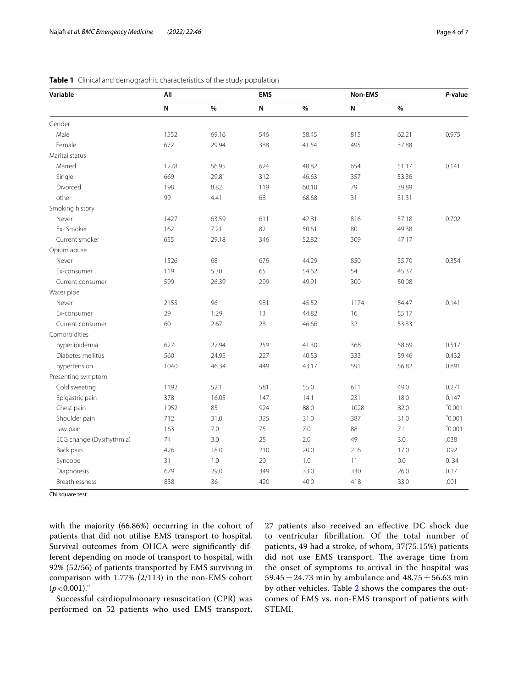| Variable                 | All       |       | <b>EMS</b> |         | Non-EMS     |       | P-value         |
|--------------------------|-----------|-------|------------|---------|-------------|-------|-----------------|
|                          | ${\sf N}$ | $\%$  | ${\sf N}$  | $\%$    | $\mathsf N$ | $\%$  |                 |
| Gender                   |           |       |            |         |             |       |                 |
| Male                     | 1552      | 69.16 | 546        | 58.45   | 815         | 62.21 | 0.975           |
| Female                   | 672       | 29.94 | 388        | 41.54   | 495         | 37.88 |                 |
| Marital status           |           |       |            |         |             |       |                 |
| Marred                   | 1278      | 56.95 | 624        | 48.82   | 654         | 51.17 | 0.141           |
| Single                   | 669       | 29.81 | 312        | 46.63   | 357         | 53.36 |                 |
| Divorced                 | 198       | 8.82  | 119        | 60.10   | 79          | 39.89 |                 |
| other                    | 99        | 4.41  | 68         | 68.68   | 31          | 31.31 |                 |
| Smoking history          |           |       |            |         |             |       |                 |
| Never                    | 1427      | 63.59 | 611        | 42.81   | 816         | 57.18 | 0.702           |
| Ex-Smoker                | 162       | 7.21  | 82         | 50.61   | 80          | 49.38 |                 |
| Current smoker           | 655       | 29.18 | 346        | 52.82   | 309         | 47.17 |                 |
| Opium abuse              |           |       |            |         |             |       |                 |
| Never                    | 1526      | 68    | 676        | 44.29   | 850         | 55.70 | 0.354           |
| Ex-consumer              | 119       | 5.30  | 65         | 54.62   | 54          | 45.37 |                 |
| Current consumer         | 599       | 26.39 | 299        | 49.91   | 300         | 50.08 |                 |
| Water pipe               |           |       |            |         |             |       |                 |
| Never                    | 2155      | 96    | 981        | 45.52   | 1174        | 54.47 | 0.141           |
| Ex-consumer              | 29        | 1.29  | 13         | 44.82   | 16          | 55.17 |                 |
| Current consumer         | 60        | 2.67  | 28         | 46.66   | 32          | 53.33 |                 |
| Comorbidities            |           |       |            |         |             |       |                 |
| hyperlipidemia           | 627       | 27.94 | 259        | 41.30   | 368         | 58.69 | 0.517           |
| Diabetes mellitus        | 560       | 24.95 | 227        | 40.53   | 333         | 59.46 | 0.432           |
| hypertension             | 1040      | 46.34 | 449        | 43.17   | 591         | 56.82 | 0.891           |
| Presenting symptom       |           |       |            |         |             |       |                 |
| Cold sweating            | 1192      | 52.1  | 581        | 55.0    | 611         | 49.0  | 0.271           |
| Epigastric pain          | 378       | 16.05 | 147        | 14.1    | 231         | 18.0  | 0.147           |
| Chest pain               | 1952      | 85    | 924        | 88.0    | 1028        | 82.0  | $^{\circ}0.001$ |
| Shoulder pain            | 712       | 31.0  | 325        | 31.0    | 387         | 31.0  | $^{\circ}0.001$ |
| Jaw pain                 | 163       | $7.0$ | 75         | $7.0\,$ | 88          | 7.1   | $^{\circ}0.001$ |
| ECG change (Dysrhythmia) | 74        | 3.0   | 25         | 2.0     | 49          | 3.0   | .038            |
| Back pain                | 426       | 18.0  | 210        | 20.0    | 216         | 17.0  | .092            |
| Syncope                  | 31        | 1.0   | 20         | 1.0     | 11          | 0.0   | 0.34            |
| Diaphoresis              | 679       | 29.0  | 349        | 33.0    | 330         | 26.0  | 0.17            |
| <b>Breathlessness</b>    | 838       | 36    | 420        | 40.0    | 418         | 33.0  | .001            |

<span id="page-3-0"></span>

|  |  |  |  | Table 1 Clinical and demographic characteristics of the study population |  |  |  |  |
|--|--|--|--|--------------------------------------------------------------------------|--|--|--|--|
|--|--|--|--|--------------------------------------------------------------------------|--|--|--|--|

Chi square test

with the majority (66.86%) occurring in the cohort of patients that did not utilise EMS transport to hospital. Survival outcomes from OHCA were signifcantly different depending on mode of transport to hospital, with 92% (52/56) of patients transported by EMS surviving in comparison with 1.77% (2/113) in the non-EMS cohort  $(p < 0.001)$ ."

Successful cardiopulmonary resuscitation (CPR) was performed on 52 patients who used EMS transport. 27 patients also received an efective DC shock due to ventricular fbrillation. Of the total number of patients, 49 had a stroke, of whom, 37(75.15%) patients did not use EMS transport. The average time from the onset of symptoms to arrival in the hospital was 59.45 $\pm$ 24.73 min by ambulance and 48.75 $\pm$ 56.63 min by other vehicles. Table [2](#page-4-0) shows the compares the outcomes of EMS vs. non-EMS transport of patients with STEMI.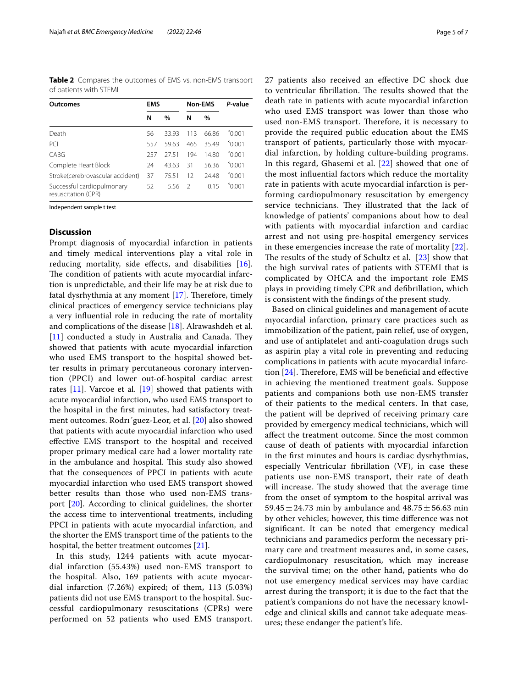<span id="page-4-0"></span>**Table 2** Compares the outcomes of EMS vs. non-EMS transport of patients with STEMI

| Outcomes                                          | <b>EMS</b> |       | <b>Non-EMS</b> |       | P-value            |  |
|---------------------------------------------------|------------|-------|----------------|-------|--------------------|--|
|                                                   | N          | $\%$  | N              | $\%$  |                    |  |
| Death                                             | 56         | 33.93 | 113            | 66.86 | $^{\circ}$ 0 0 0 1 |  |
| PC <sub>1</sub>                                   | 557        | 59.63 | 465            | 35.49 | $^{\circ}$ 0.001   |  |
| CABG                                              | 257        | 2751  | 194            | 1480  | $^{\sim}$ 0.01     |  |
| Complete Heart Block                              | 24         | 43.63 | 31             | 56.36 | $^{\circ}$ 0.001   |  |
| Stroke(cerebrovascular accident)                  | 37         | 7551  | 12             | 24.48 | $^{\sim}$ 0.01     |  |
| Successful cardiopulmonary<br>resuscitation (CPR) | 52         | 5.56  | $\mathcal{L}$  | 015   | $^{\circ}$ 0 0 0 1 |  |

Independent sample t test

#### **Discussion**

Prompt diagnosis of myocardial infarction in patients and timely medical interventions play a vital role in reducing mortality, side effects, and disabilities [\[16](#page-6-11)]. The condition of patients with acute myocardial infarction is unpredictable, and their life may be at risk due to fatal dysrhythmia at any moment  $[17]$  $[17]$ . Therefore, timely clinical practices of emergency service technicians play a very infuential role in reducing the rate of mortality and complications of the disease [[18](#page-6-13)]. Alrawashdeh et al.  $[11]$  $[11]$  conducted a study in Australia and Canada. They showed that patients with acute myocardial infarction who used EMS transport to the hospital showed better results in primary percutaneous coronary intervention (PPCI) and lower out-of-hospital cardiac arrest rates  $[11]$  $[11]$ . Varcoe et al.  $[19]$  $[19]$  showed that patients with acute myocardial infarction, who used EMS transport to the hospital in the frst minutes, had satisfactory treatment outcomes. Rodrı´guez-Leor, et al. [[20\]](#page-6-15) also showed that patients with acute myocardial infarction who used efective EMS transport to the hospital and received proper primary medical care had a lower mortality rate in the ambulance and hospital. This study also showed that the consequences of PPCI in patients with acute myocardial infarction who used EMS transport showed better results than those who used non-EMS transport [[20\]](#page-6-15). According to clinical guidelines, the shorter the access time to interventional treatments, including PPCI in patients with acute myocardial infarction, and the shorter the EMS transport time of the patients to the hospital, the better treatment outcomes [[21\]](#page-6-16).

In this study, 1244 patients with acute myocardial infarction (55.43%) used non-EMS transport to the hospital. Also, 169 patients with acute myocardial infarction (7.26%) expired; of them, 113 (5.03%) patients did not use EMS transport to the hospital. Successful cardiopulmonary resuscitations (CPRs) were performed on 52 patients who used EMS transport. 27 patients also received an efective DC shock due to ventricular fibrillation. The results showed that the death rate in patients with acute myocardial infarction who used EMS transport was lower than those who used non-EMS transport. Therefore, it is necessary to provide the required public education about the EMS transport of patients, particularly those with myocardial infarction, by holding culture-building programs. In this regard, Ghasemi et al. [[22\]](#page-6-17) showed that one of the most infuential factors which reduce the mortality rate in patients with acute myocardial infarction is performing cardiopulmonary resuscitation by emergency service technicians. They illustrated that the lack of knowledge of patients' companions about how to deal with patients with myocardial infarction and cardiac arrest and not using pre-hospital emergency services in these emergencies increase the rate of mortality [[22\]](#page-6-17). The results of the study of Schultz et al.  $[23]$  $[23]$  show that the high survival rates of patients with STEMI that is complicated by OHCA and the important role EMS plays in providing timely CPR and defbrillation, which is consistent with the fndings of the present study.

Based on clinical guidelines and management of acute myocardial infarction, primary care practices such as immobilization of the patient, pain relief, use of oxygen, and use of antiplatelet and anti-coagulation drugs such as aspirin play a vital role in preventing and reducing complications in patients with acute myocardial infarction  $[24]$  $[24]$ . Therefore, EMS will be beneficial and effective in achieving the mentioned treatment goals. Suppose patients and companions both use non-EMS transfer of their patients to the medical centers. In that case, the patient will be deprived of receiving primary care provided by emergency medical technicians, which will afect the treatment outcome. Since the most common cause of death of patients with myocardial infarction in the frst minutes and hours is cardiac dysrhythmias, especially Ventricular fbrillation (VF), in case these patients use non-EMS transport, their rate of death will increase. The study showed that the average time from the onset of symptom to the hospital arrival was 59.45  $\pm$  24.73 min by ambulance and 48.75  $\pm$  56.63 min by other vehicles; however, this time diference was not signifcant. It can be noted that emergency medical technicians and paramedics perform the necessary primary care and treatment measures and, in some cases, cardiopulmonary resuscitation, which may increase the survival time; on the other hand, patients who do not use emergency medical services may have cardiac arrest during the transport; it is due to the fact that the patient's companions do not have the necessary knowledge and clinical skills and cannot take adequate measures; these endanger the patient's life.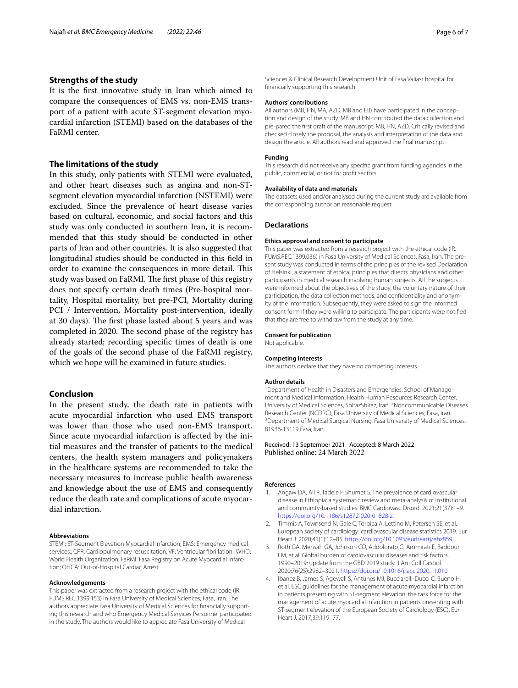#### **Strengths of the study**

It is the frst innovative study in Iran which aimed to compare the consequences of EMS vs. non-EMS transport of a patient with acute ST-segment elevation myocardial infarction (STEMI) based on the databases of the FaRMI center.

#### **The limitations of the study**

In this study, only patients with STEMI were evaluated, and other heart diseases such as angina and non-STsegment elevation myocardial infarction (NSTEMI) were excluded. Since the prevalence of heart disease varies based on cultural, economic, and social factors and this study was only conducted in southern Iran, it is recommended that this study should be conducted in other parts of Iran and other countries. It is also suggested that longitudinal studies should be conducted in this feld in order to examine the consequences in more detail. This study was based on FaRMI. The first phase of this registry does not specify certain death times (Pre-hospital mortality, Hospital mortality, but pre-PCI, Mortality during PCI / Intervention, Mortality post-intervention, ideally at 30 days). The first phase lasted about 5 years and was completed in 2020. The second phase of the registry has already started; recording specifc times of death is one of the goals of the second phase of the FaRMI registry, which we hope will be examined in future studies.

#### **Conclusion**

In the present study, the death rate in patients with acute myocardial infarction who used EMS transport was lower than those who used non-EMS transport. Since acute myocardial infarction is afected by the initial measures and the transfer of patients to the medical centers, the health system managers and policymakers in the healthcare systems are recommended to take the necessary measures to increase public health awareness and knowledge about the use of EMS and consequently reduce the death rate and complications of acute myocardial infarction.

#### **Abbreviations**

STEMI: ST-Segment Elevation Myocardial Infarction; EMS: Emergency medical services.; CPR: Cardiopulmonary resuscitation; VF: Ventricular fbrillation.; WHO: World Health Organization; FaRMI: Fasa Registry on Acute Myocardial Infarction; OHCA: Out-of-Hospital Cardiac Arrest.

#### **Acknowledgements**

This paper was extracted from a research project with the ethical code (IR. FUMS.REC.1399.153) in Fasa University of Medical Sciences, Fasa, Iran. The authors appreciate Fasa University of Medical Sciences for fnancially supporting this research and who Emergency Medical Services Personnel participated in the study. The authors would like to appreciate Fasa University of Medical

Sciences & Clinical Research Development Unit of Fasa Valiasr hospital for fnancially supporting this research

#### **Authors' contributions**

All authors (MB, HN, MA, AZD, MB and EB) have participated in the conception and design of the study. MB and HN contributed the data collection and pre-pared the frst draft of the manuscript. MB, HN, AZD, Critically revised and checked closely the proposal, the analysis and interpretation of the data and design the article. All authors read and approved the fnal manuscript.

#### **Funding**

This research did not receive any specifc grant from funding agencies in the public, commercial, or not for proft sectors.

#### **Availability of data and materials**

The datasets used and/or analysed during the current study are available from the corresponding author on reasonable request.

#### **Declarations**

#### **Ethics approval and consent to participate**

This paper was extracted from a research project with the ethical code (IR. FUMS.REC.1399.036) in Fasa University of Medical Sciences, Fasa, Iran. The present study was conducted in terms of the principles of the revised Declaration of Helsinki, a statement of ethical principles that directs physicians and other participants in medical research involving human subjects. All the subjects were informed about the objectives of the study, the voluntary nature of their participation, the data collection methods, and confdentiality and anonymity of the information. Subsequently, they were asked to sign the informed consent form if they were willing to participate. The participants were notifed that they are free to withdraw from the study at any time.

#### **Consent for publication**

Not applicable.

#### **Competing interests**

The authors declare that they have no competing interests.

#### **Author details**

<sup>1</sup> Department of Health in Disasters and Emergencies, School of Management and Medical Information, Health Human Resources Research Center, University of Medical Sciences, ShirazShiraz, Iran. <sup>2</sup> Noncommunicable Diseases Research Center (NCDRC), Fasa University of Medical Sciences, Fasa, Iran. <sup>3</sup> Department of Medical Surgical Nursing, Fasa University of Medical Sciences, 81936-13119 Fasa, Iran.

# Received: 13 September 2021 Accepted: 8 March 2022

#### **References**

- <span id="page-5-0"></span>1. Angaw DA, Ali R, Tadele F, Shumet S. The prevalence of cardiovascular disease in Ethiopia: a systematic review and meta-analysis of institutional and community-based studies. BMC Cardiovasc Disord. 2021;21(37):1–9. [https://doi.org/10.1186/s12872-020-01828-z.](https://doi.org/10.1186/s12872-020-01828-z)
- <span id="page-5-1"></span>2. Timmis A, Townsend N, Gale C, Torbica A, Lettino M, Petersen SE, et al. European society of cardiology: cardiovascular disease statistics 2019. Eur Heart J. 2020;41(1):12–85. <https://doi.org/10.1093/eurheartj/ehz859>.
- <span id="page-5-2"></span>3. Roth GA, Mensah GA, Johnson CO, Addolorato G, Ammirati E, Baddour LM, et al. Global burden of cardiovascular diseases and risk factors, 1990–2019: update from the GBD 2019 study. J Am Coll Cardiol. 2020;76(25):2982–3021. [https://doi.org/10.1016/j.jacc.2020.11.010.](https://doi.org/10.1016/j.jacc.2020.11.010)
- <span id="page-5-3"></span>4. Ibanez B, James S, Agewall S, Antunes MJ, Bucciarelli-Ducci C, Bueno H, et al. ESC guidelines for the management of acute myocardial infarction in patients presenting with ST-segment elevation: the task force for the management of acute myocardial infarction in patients presenting with ST-segment elevation of the European Society of Cardiology (ESC). Eur Heart J. 2017;39:119–77.